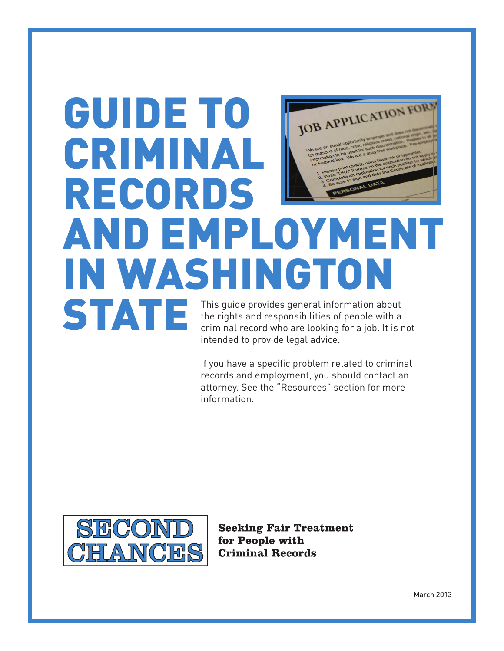# GUIDE TO JOB APPLICATION FOR CRIMINAL RECORDS AND EMPLOYMENT IN WASHINGTON STATE This guide provides general information about the rights and responsibilities of people with a criminal record who are looking for a job. It is not

information.

intended to provide legal advice. If you have a specific problem related to criminal records and employment, you should contact an attorney. See the "Resources" section for more



**Seeking Fair Treatment** for People with **Criminal Records**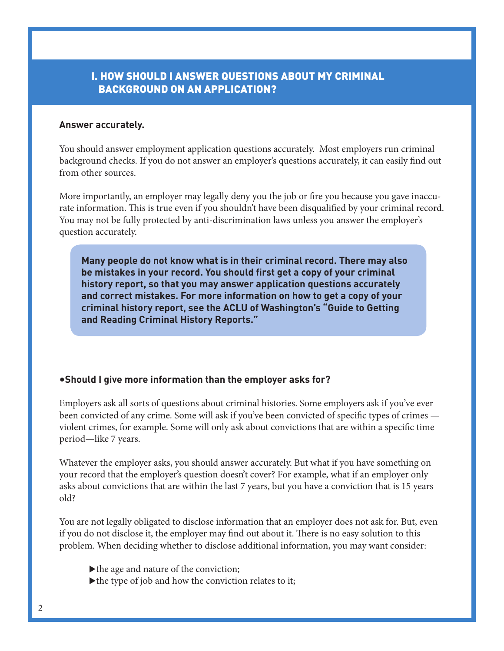## I. HOW SHOULD I ANSWER QUESTIONS ABOUT MY CRIMINAL BACKGROUND ON AN APPLICATION?

#### **Answer accurately.**

You should answer employment application questions accurately. Most employers run criminal background checks. If you do not answer an employer's questions accurately, it can easily find out from other sources.

More importantly, an employer may legally deny you the job or fire you because you gave inaccurate information. This is true even if you shouldn't have been disqualified by your criminal record. You may not be fully protected by anti-discrimination laws unless you answer the employer's question accurately.

**Many people do not know what is in their criminal record. There may also be mistakes in your record. You should first get a copy of your criminal history report, so that you may answer application questions accurately and correct mistakes. For more information on how to get a copy of your criminal history report, see the ACLU of Washington's "Guide to Getting and Reading Criminal History Reports."**

#### •**Should I give more information than the employer asks for?**

Employers ask all sorts of questions about criminal histories. Some employers ask if you've ever been convicted of any crime. Some will ask if you've been convicted of specific types of crimes violent crimes, for example. Some will only ask about convictions that are within a specific time period—like 7 years.

Whatever the employer asks, you should answer accurately. But what if you have something on your record that the employer's question doesn't cover? For example, what if an employer only asks about convictions that are within the last 7 years, but you have a conviction that is 15 years old?

You are not legally obligated to disclose information that an employer does not ask for. But, even if you do not disclose it, the employer may find out about it. There is no easy solution to this problem. When deciding whether to disclose additional information, you may want consider:

- $\blacktriangleright$  the age and nature of the conviction;
- $\blacktriangleright$  the type of job and how the conviction relates to it;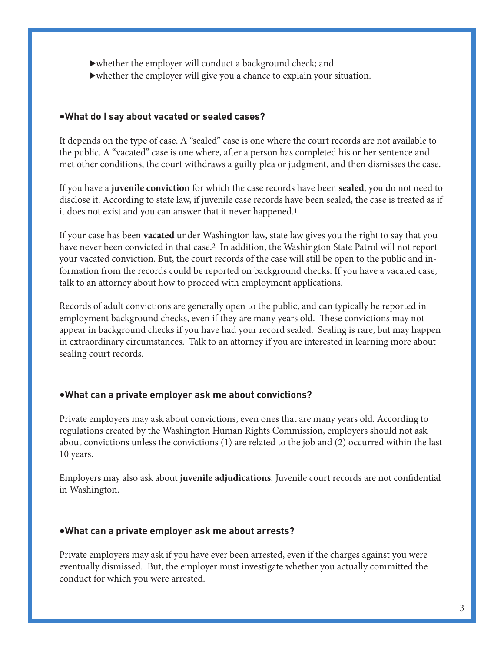$\blacktriangleright$  whether the employer will conduct a background check; and  $\blacktriangleright$  whether the employer will give you a chance to explain your situation.

## •**What do I say about vacated or sealed cases?**

It depends on the type of case. A "sealed" case is one where the court records are not available to the public. A "vacated" case is one where, after a person has completed his or her sentence and met other conditions, the court withdraws a guilty plea or judgment, and then dismisses the case.

If you have a **juvenile conviction** for which the case records have been **sealed**, you do not need to disclose it. According to state law, if juvenile case records have been sealed, the case is treated as if it does not exist and you can answer that it never happened.<sup>1</sup>

If your case has been **vacated** under Washington law, state law gives you the right to say that you have never been convicted in that case.2 In addition, the Washington State Patrol will not report your vacated conviction. But, the court records of the case will still be open to the public and information from the records could be reported on background checks. If you have a vacated case, talk to an attorney about how to proceed with employment applications.

Records of adult convictions are generally open to the public, and can typically be reported in employment background checks, even if they are many years old. These convictions may not appear in background checks if you have had your record sealed. Sealing is rare, but may happen in extraordinary circumstances. Talk to an attorney if you are interested in learning more about sealing court records.

#### •**What can a private employer ask me about convictions?**

Private employers may ask about convictions, even ones that are many years old. According to regulations created by the Washington Human Rights Commission, employers should not ask about convictions unless the convictions (1) are related to the job and (2) occurred within the last 10 years.

Employers may also ask about **juvenile adjudications**. Juvenile court records are not confidential in Washington.

#### •**What can a private employer ask me about arrests?**

Private employers may ask if you have ever been arrested, even if the charges against you were eventually dismissed. But, the employer must investigate whether you actually committed the conduct for which you were arrested.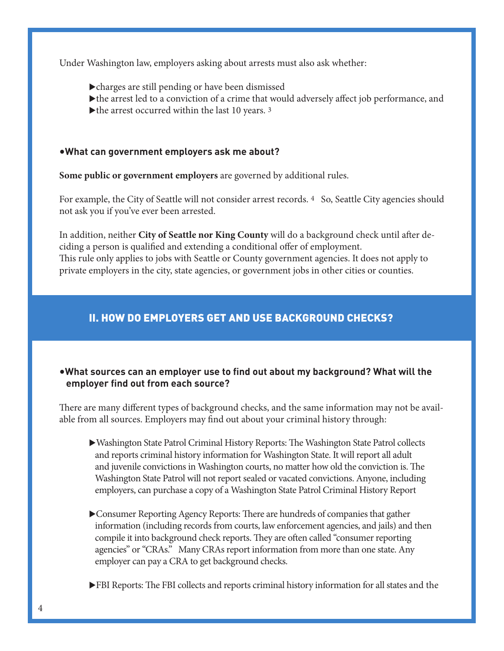Under Washington law, employers asking about arrests must also ask whether:

- $\blacktriangleright$  charges are still pending or have been dismissed
- $\blacktriangleright$  the arrest led to a conviction of a crime that would adversely affect job performance, and
- $\blacktriangleright$  the arrest occurred within the last 10 years. 3

#### •**What can government employers ask me about?**

**Some public or government employers** are governed by additional rules.

For example, the City of Seattle will not consider arrest records. 4 So, Seattle City agencies should not ask you if you've ever been arrested.

In addition, neither **City of Seattle nor King County** will do a background check until after deciding a person is qualified and extending a conditional offer of employment. This rule only applies to jobs with Seattle or County government agencies. It does not apply to private employers in the city, state agencies, or government jobs in other cities or counties.

## II. How Do Employers Get and Use Background Checks?

## •**What sources can an employer use to find out about my background? What will the employer find out from each source?**

There are many different types of background checks, and the same information may not be available from all sources. Employers may find out about your criminal history through:

- Washington State Patrol Criminal History Reports: The Washington State Patrol collects and reports criminal history information for Washington State. It will report all adult and juvenile convictions in Washington courts, no matter how old the conviction is. The Washington State Patrol will not report sealed or vacated convictions. Anyone, including employers, can purchase a copy of a Washington State Patrol Criminal History Report
- **Consumer Reporting Agency Reports: There are hundreds of companies that gather**  information (including records from courts, law enforcement agencies, and jails) and then compile it into background check reports. They are often called "consumer reporting agencies" or "CRAs." Many CRAs report information from more than one state. Any employer can pay a CRA to get background checks.
- **FBI Reports:** The FBI collects and reports criminal history information for all states and the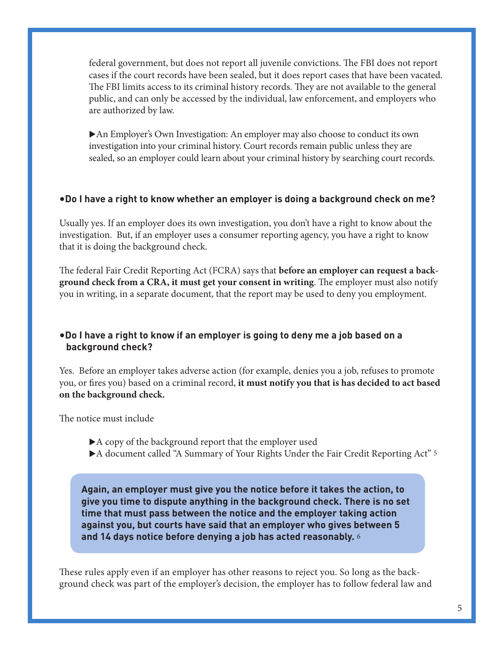federal government, but does not report all juvenile convictions. The FBI does not report cases if the court records have been sealed, but it does report cases that have been vacated. The FBI limits access to its criminal history records. They are not available to the general public, and can only be accessed by the individual, law enforcement, and employers who are authorized by law.

▶ An Employer's Own Investigation: An employer may also choose to conduct its own investigation into your criminal history. Court records remain public unless they are sealed, so an employer could learn about your criminal history by searching court records.

#### •**Do I have a right to know whether an employer is doing a background check on me?**

Usually yes. If an employer does its own investigation, you don't have a right to know about the investigation. But, if an employer uses a consumer reporting agency, you have a right to know that it is doing the background check.

The federal Fair Credit Reporting Act (FCRA) says that **before an employer can request a background check from a CRA, it must get your consent in writing**. The employer must also notify you in writing, in a separate document, that the report may be used to deny you employment.

## •**Do I have a right to know if an employer is going to deny me a job based on a background check?**

Yes. Before an employer takes adverse action (for example, denies you a job, refuses to promote you, or fires you) based on a criminal record, **it must notify you that is has decided to act based on the background check.** 

The notice must include

- $\blacktriangleright$  A copy of the background report that the employer used
- $\blacktriangleright$  A document called "A Summary of Your Rights Under the Fair Credit Reporting Act" 5

**Again, an employer must give you the notice before it takes the action, to give you time to dispute anything in the background check. There is no set time that must pass between the notice and the employer taking action against you, but courts have said that an employer who gives between 5 and 14 days notice before denying a job has acted reasonably.** 6

These rules apply even if an employer has other reasons to reject you. So long as the background check was part of the employer's decision, the employer has to follow federal law and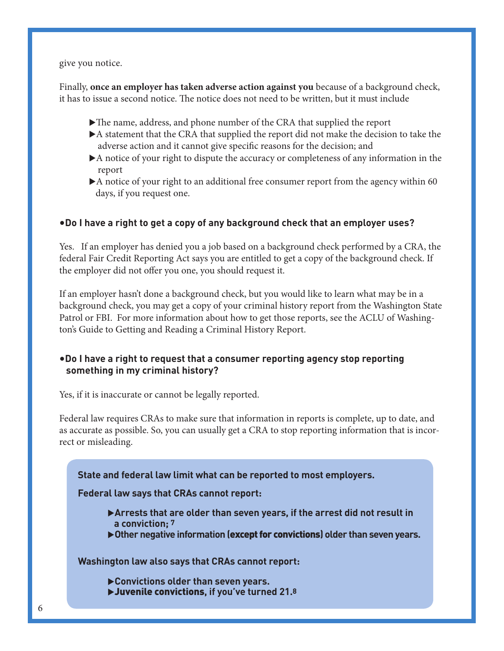give you notice.

Finally, **once an employer has taken adverse action against you** because of a background check, it has to issue a second notice. The notice does not need to be written, but it must include

- $\blacktriangleright$  The name, address, and phone number of the CRA that supplied the report
- $\blacktriangleright$  A statement that the CRA that supplied the report did not make the decision to take the adverse action and it cannot give specific reasons for the decision; and
- $\blacktriangleright$  A notice of your right to dispute the accuracy or completeness of any information in the report
- $\blacktriangleright$  A notice of your right to an additional free consumer report from the agency within 60 days, if you request one.

## •**Do I have a right to get a copy of any background check that an employer uses?**

Yes. If an employer has denied you a job based on a background check performed by a CRA, the federal Fair Credit Reporting Act says you are entitled to get a copy of the background check. If the employer did not offer you one, you should request it.

If an employer hasn't done a background check, but you would like to learn what may be in a background check, you may get a copy of your criminal history report from the Washington State Patrol or FBI. For more information about how to get those reports, see the ACLU of Washington's Guide to Getting and Reading a Criminal History Report.

## •**Do I have a right to request that a consumer reporting agency stop reporting something in my criminal history?**

Yes, if it is inaccurate or cannot be legally reported.

Federal law requires CRAs to make sure that information in reports is complete, up to date, and as accurate as possible. So, you can usually get a CRA to stop reporting information that is incorrect or misleading.

**State and federal law limit what can be reported to most employers.**

**Federal law says that CRAs cannot report:**

- u**Arrests that are older than seven years, if the arrest did not result in a conviction; 7**
- u**Other negative information (**except for convictions**) older than seven years.**

**Washington law also says that CRAs cannot report:**

- u**Convictions older than seven years.**
- **D**Juvenile convictions, if you've turned 21.8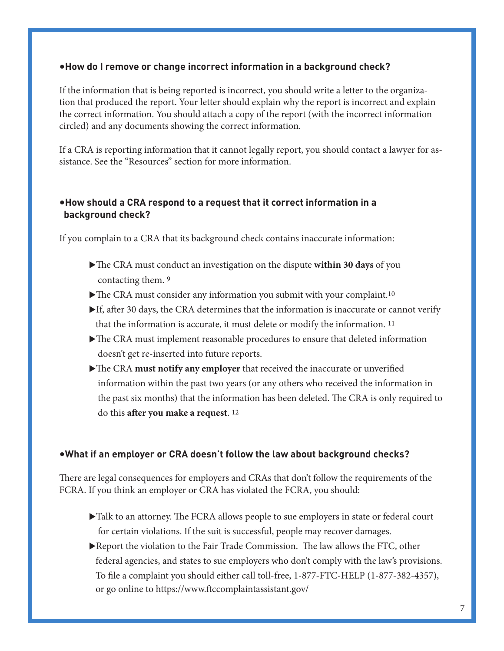#### •**How do I remove or change incorrect information in a background check?**

If the information that is being reported is incorrect, you should write a letter to the organization that produced the report. Your letter should explain why the report is incorrect and explain the correct information. You should attach a copy of the report (with the incorrect information circled) and any documents showing the correct information.

If a CRA is reporting information that it cannot legally report, you should contact a lawyer for assistance. See the "Resources" section for more information.

## •**How should a CRA respond to a request that it correct information in a background check?**

If you complain to a CRA that its background check contains inaccurate information:

- If The CRA must conduct an investigation on the dispute **within 30 days** of you contacting them. 9
- $\blacktriangleright$  The CRA must consider any information you submit with your complaint.<sup>10</sup>
- $\blacktriangleright$  If, after 30 days, the CRA determines that the information is inaccurate or cannot verify that the information is accurate, it must delete or modify the information. 11
- $\blacktriangleright$  The CRA must implement reasonable procedures to ensure that deleted information doesn't get re-inserted into future reports.
- The CRA **must notify any employer** that received the inaccurate or unverified information within the past two years (or any others who received the information in the past six months) that the information has been deleted. The CRA is only required to do this **after you make a request**. 12

## •**What if an employer or CRA doesn't follow the law about background checks?**

There are legal consequences for employers and CRAs that don't follow the requirements of the FCRA. If you think an employer or CRA has violated the FCRA, you should:

- $\blacktriangleright$  Talk to an attorney. The FCRA allows people to sue employers in state or federal court for certain violations. If the suit is successful, people may recover damages.
- $\blacktriangleright$  Report the violation to the Fair Trade Commission. The law allows the FTC, other federal agencies, and states to sue employers who don't comply with the law's provisions. To file a complaint you should either call toll-free, 1-877-FTC-HELP (1-877-382-4357), or go online to https://www.ftccomplaintassistant.gov/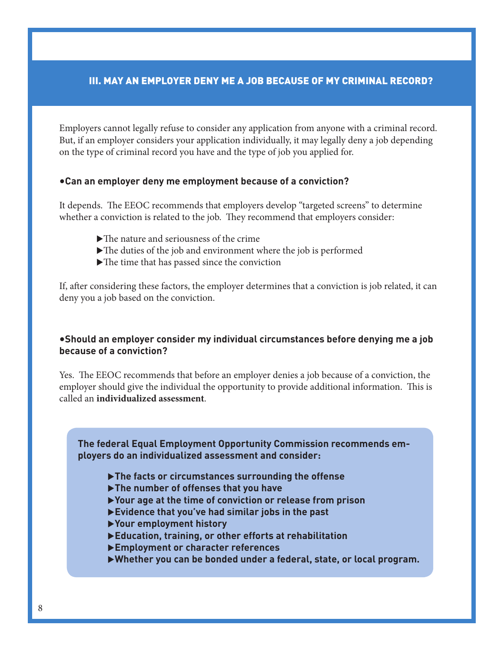## III. May an Employer Deny Me a Job Because of My Criminal Record?

Employers cannot legally refuse to consider any application from anyone with a criminal record. But, if an employer considers your application individually, it may legally deny a job depending on the type of criminal record you have and the type of job you applied for.

#### •**Can an employer deny me employment because of a conviction?**

It depends. The EEOC recommends that employers develop "targeted screens" to determine whether a conviction is related to the job. They recommend that employers consider:

- $\blacktriangleright$  The nature and seriousness of the crime
- $\blacktriangleright$  The duties of the job and environment where the job is performed
- $\blacktriangleright$  The time that has passed since the conviction

If, after considering these factors, the employer determines that a conviction is job related, it can deny you a job based on the conviction.

#### •**Should an employer consider my individual circumstances before denying me a job because of a conviction?**

Yes. The EEOC recommends that before an employer denies a job because of a conviction, the employer should give the individual the opportunity to provide additional information. This is called an **individualized assessment**.

**The federal Equal Employment Opportunity Commission recommends employers do an individualized assessment and consider:**

- $\blacktriangleright$  The facts or circumstances surrounding the offense
- u**The number of offenses that you have**
- u**Your age at the time of conviction or release from prison**
- u**Evidence that you've had similar jobs in the past**
- u**Your employment history**
- u**Education, training, or other efforts at rehabilitation**
- u**Employment or character references**
- u**Whether you can be bonded under a federal, state, or local program.**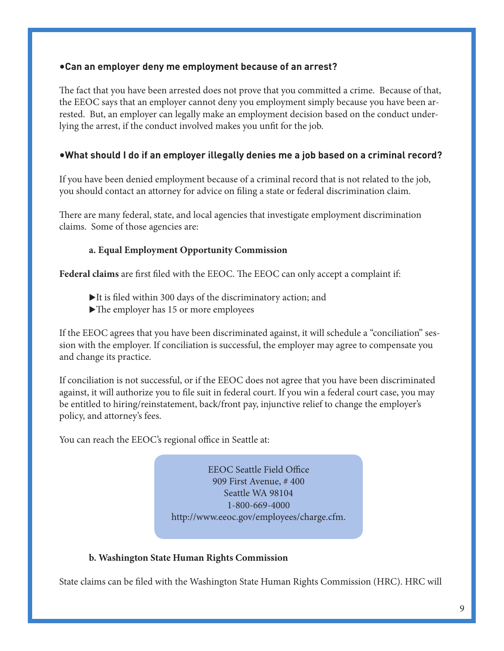#### •**Can an employer deny me employment because of an arrest?**

The fact that you have been arrested does not prove that you committed a crime. Because of that, the EEOC says that an employer cannot deny you employment simply because you have been arrested. But, an employer can legally make an employment decision based on the conduct underlying the arrest, if the conduct involved makes you unfit for the job.

## •**What should I do if an employer illegally denies me a job based on a criminal record?**

If you have been denied employment because of a criminal record that is not related to the job, you should contact an attorney for advice on filing a state or federal discrimination claim.

There are many federal, state, and local agencies that investigate employment discrimination claims. Some of those agencies are:

## **a. Equal Employment Opportunity Commission**

**Federal claims** are first filed with the EEOC. The EEOC can only accept a complaint if:

- $\blacktriangleright$  It is filed within 300 days of the discriminatory action; and
- $\blacktriangleright$  The employer has 15 or more employees

If the EEOC agrees that you have been discriminated against, it will schedule a "conciliation" session with the employer. If conciliation is successful, the employer may agree to compensate you and change its practice.

If conciliation is not successful, or if the EEOC does not agree that you have been discriminated against, it will authorize you to file suit in federal court. If you win a federal court case, you may be entitled to hiring/reinstatement, back/front pay, injunctive relief to change the employer's policy, and attorney's fees.

You can reach the EEOC's regional office in Seattle at:

EEOC Seattle Field Office 909 First Avenue, # 400 Seattle WA 98104 1-800-669-4000 http://www.eeoc.gov/employees/charge.cfm.

#### **b. Washington State Human Rights Commission**

State claims can be filed with the Washington State Human Rights Commission (HRC). HRC will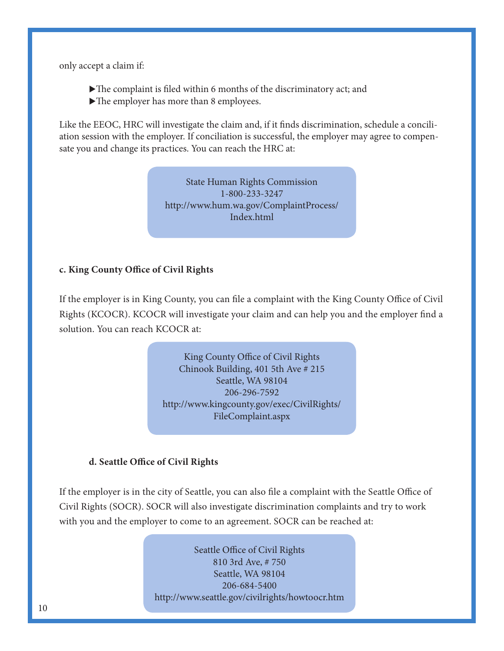only accept a claim if:

- $\blacktriangleright$  The complaint is filed within 6 months of the discriminatory act; and
- $\blacktriangleright$  The employer has more than 8 employees.

Like the EEOC, HRC will investigate the claim and, if it finds discrimination, schedule a conciliation session with the employer. If conciliation is successful, the employer may agree to compensate you and change its practices. You can reach the HRC at:

> State Human Rights Commission 1-800-233-3247 http://www.hum.wa.gov/ComplaintProcess/ Index.html

#### **c. King County Office of Civil Rights**

If the employer is in King County, you can file a complaint with the King County Office of Civil Rights (KCOCR). KCOCR will investigate your claim and can help you and the employer find a solution. You can reach KCOCR at:

> King County Office of Civil Rights Chinook Building, 401 5th Ave # 215 Seattle, WA 98104 206-296-7592 http://www.kingcounty.gov/exec/CivilRights/ FileComplaint.aspx

#### **d. Seattle Office of Civil Rights**

If the employer is in the city of Seattle, you can also file a complaint with the Seattle Office of Civil Rights (SOCR). SOCR will also investigate discrimination complaints and try to work with you and the employer to come to an agreement. SOCR can be reached at:

> Seattle Office of Civil Rights 810 3rd Ave, # 750 Seattle, WA 98104 206-684-5400 http://www.seattle.gov/civilrights/howtoocr.htm